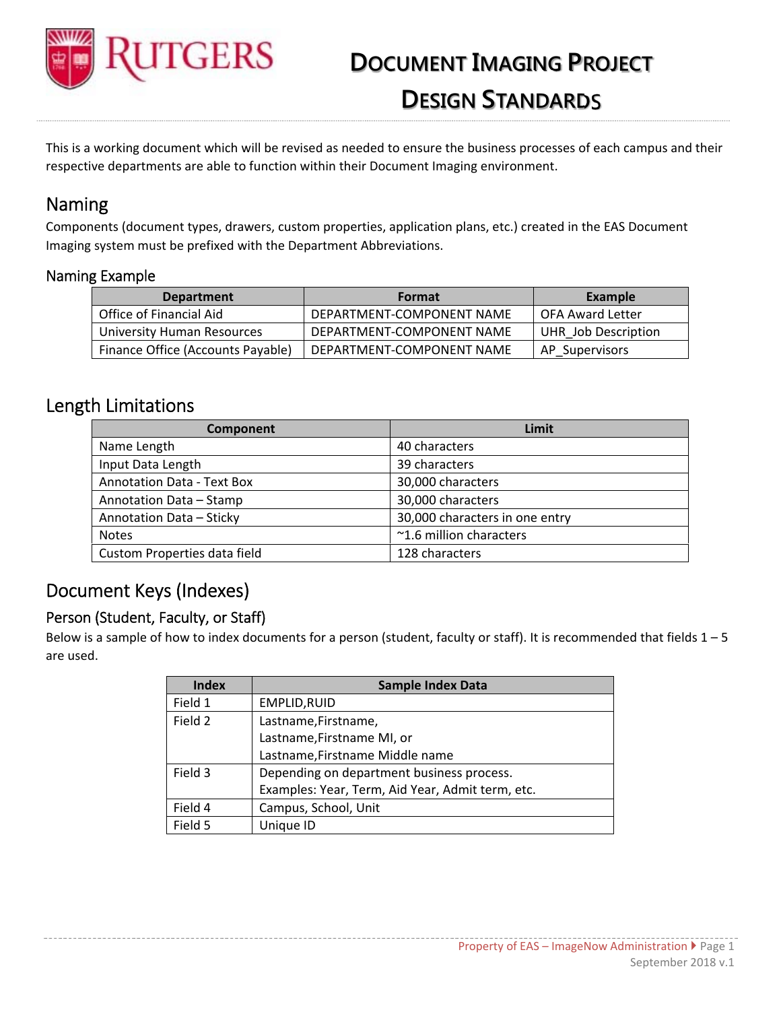

# **DOCUMENT IMAGING PROJECT DESIGN STANDARDS**

This is a working document which will be revised as needed to ensure the business processes of each campus and their respective departments are able to function within their Document Imaging environment.

## Naming

Components (document types, drawers, custom properties, application plans, etc.) created in the EAS Document Imaging system must be prefixed with the Department Abbreviations.

#### Naming Example

| <b>Department</b>                 | <b>Format</b>             | Example             |
|-----------------------------------|---------------------------|---------------------|
| Office of Financial Aid           | DEPARTMENT-COMPONENT NAME | OFA Award Letter    |
| University Human Resources        | DEPARTMENT-COMPONENT NAME | UHR Job Description |
| Finance Office (Accounts Payable) | DEPARTMENT-COMPONENT NAME | AP Supervisors      |

### Length Limitations

| Component                         | Limit                          |
|-----------------------------------|--------------------------------|
| Name Length                       | 40 characters                  |
| Input Data Length                 | 39 characters                  |
| <b>Annotation Data - Text Box</b> | 30,000 characters              |
| Annotation Data - Stamp           | 30,000 characters              |
| Annotation Data - Sticky          | 30,000 characters in one entry |
| <b>Notes</b>                      | ~1.6 million characters        |
| Custom Properties data field      | 128 characters                 |

## Document Keys (Indexes)

#### Person (Student, Faculty, or Staff)

Below is a sample of how to index documents for a person (student, faculty or staff). It is recommended that fields  $1 - 5$ are used.

| <b>Index</b> | <b>Sample Index Data</b>                         |  |
|--------------|--------------------------------------------------|--|
| Field 1      | EMPLID, RUID                                     |  |
| Field 2      | Lastname, Firstname,                             |  |
|              | Lastname, Firstname MI, or                       |  |
|              | Lastname, Firstname Middle name                  |  |
| Field 3      | Depending on department business process.        |  |
|              | Examples: Year, Term, Aid Year, Admit term, etc. |  |
| Field 4      | Campus, School, Unit                             |  |
| Field 5      | Unique ID                                        |  |